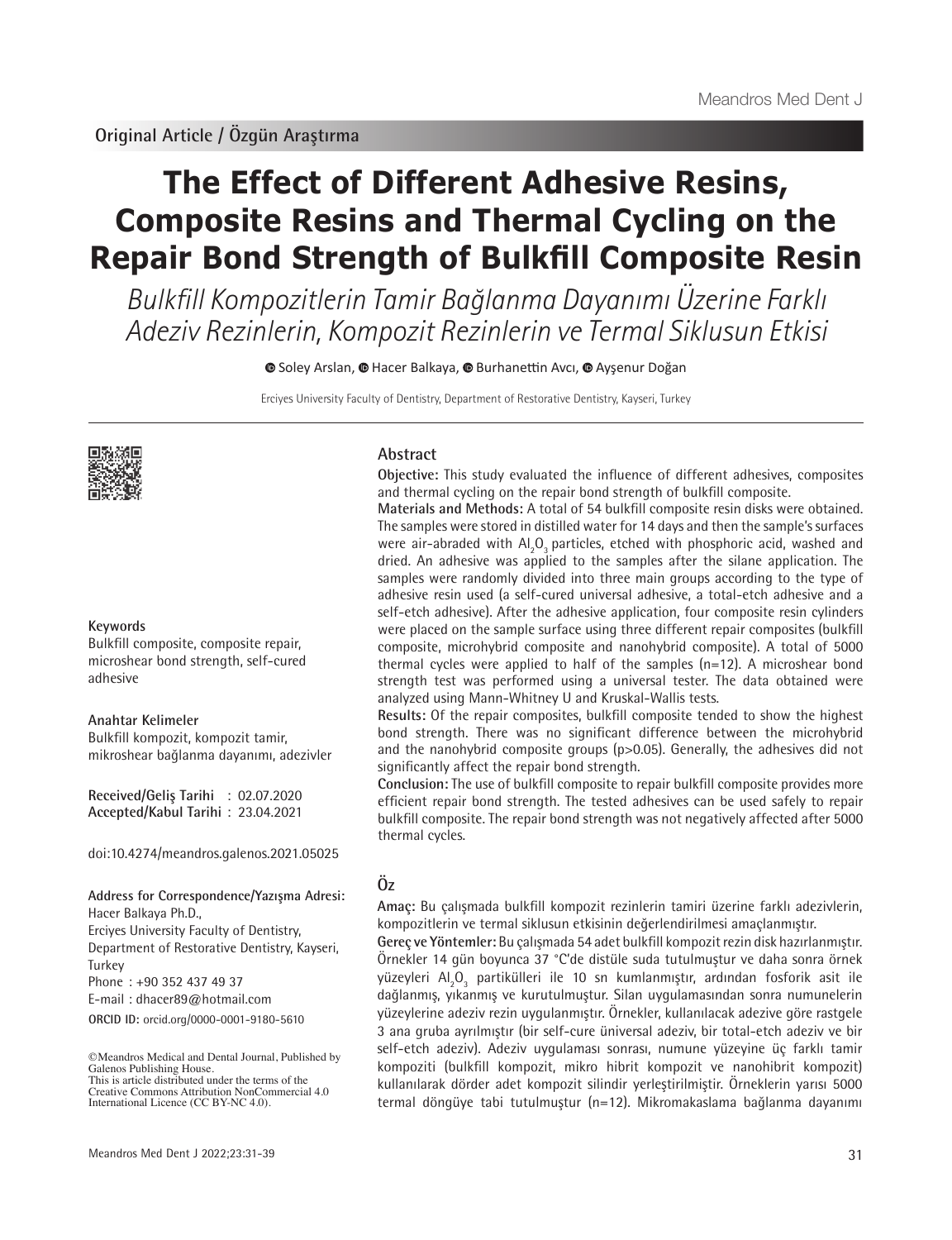# **The Effect of Different Adhesive Resins, Composite Resins and Thermal Cycling on the Repair Bond Strength of Bulkfill Composite Resin**

Bulkfill Kompozitlerin Tamir Bağlanma Dayanımı Üzerine Farklı Adeziv Rezinlerin, Kompozit Rezinlerin ve Termal Siklusun Etkisi

**■**Soley Arslan, ● Hacer Balkaya, ● Burhanettin Avcı, ● Ayşenur Doğan

Erciyes University Faculty of Dentistry, Department of Restorative Dentistry, Kayseri, Turkey



#### **Keywords**

Bulkfill composite, composite repair, microshear bond strength, self-cured adhesive

#### **Anahtar Kelimeler**

Bulkfill kompozit, kompozit tamir, mikroshear bağlanma dayanımı, adezivler

**Received/Geliş Tarihi** : 02.07.2020 **Accepted/Kabul Tarihi** : 23.04.2021

doi:10.4274/meandros.galenos.2021.05025

**Address for Correspondence/Yazışma Adresi:** Hacer Balkaya Ph.D., Erciyes University Faculty of Dentistry, Department of Restorative Dentistry, Kayseri, Turkey

Phone : +90 352 437 49 37

E-mail : dhacer89@hotmail.com

**ORCID ID:** orcid.org/0000-0001-9180-5610

©Meandros Medical and Dental Journal, Published by Galenos Publishing House. This is article distributed under the terms of the

#### **Abstract**

**Objective:** This study evaluated the influence of different adhesives, composites and thermal cycling on the repair bond strength of bulkfill composite.

**Materials and Methods:** A total of 54 bulkfill composite resin disks were obtained. The samples were stored in distilled water for 14 days and then the sample's surfaces were air-abraded with  $\mathsf{Al}_2\mathsf{O}_3$  particles, etched with phosphoric acid, washed and dried. An adhesive was applied to the samples after the silane application. The samples were randomly divided into three main groups according to the type of adhesive resin used (a self-cured universal adhesive, a total-etch adhesive and a self-etch adhesive). After the adhesive application, four composite resin cylinders were placed on the sample surface using three different repair composites (bulkfill composite, microhybrid composite and nanohybrid composite). A total of 5000 thermal cycles were applied to half of the samples (n=12). A microshear bond strength test was performed using a universal tester. The data obtained were analyzed using Mann-Whitney U and Kruskal-Wallis tests.

**Results:** Of the repair composites, bulkfill composite tended to show the highest bond strength. There was no significant difference between the microhybrid and the nanohybrid composite groups (p>0.05). Generally, the adhesives did not significantly affect the repair bond strength.

**Conclusion:** The use of bulkfill composite to repair bulkfill composite provides more efficient repair bond strength. The tested adhesives can be used safely to repair bulkfill composite. The repair bond strength was not negatively affected after 5000 thermal cycles.

# **Öz**

**Amaç:** Bu çalışmada bulkfill kompozit rezinlerin tamiri üzerine farklı adezivlerin, kompozitlerin ve termal siklusun etkisinin değerlendirilmesi amaçlanmıştır.

**Gereç ve Yöntemler:** Bu çalışmada 54 adet bulkfill kompozit rezin disk hazırlanmıştır. Örnekler 14 gün boyunca 37 °C'de distüle suda tutulmuştur ve daha sonra örnek yüzeyleri Al $_{\rm 2}$ O $_{\rm 3}$  partikülleri ile 10 sn kumlanmıştır, ardından fosforik asit ile dağlanmış, yıkanmış ve kurutulmuştur. Silan uygulamasından sonra numunelerin yüzeylerine adeziv rezin uygulanmıştır. Örnekler, kullanılacak adezive göre rastgele 3 ana gruba ayrılmıştır (bir self-cure üniversal adeziv, bir total-etch adeziv ve bir self-etch adeziv). Adeziv uygulaması sonrası, numune yüzeyine üç farklı tamir kompoziti (bulkfill kompozit, mikro hibrit kompozit ve nanohibrit kompozit) kullanılarak dörder adet kompozit silindir yerleştirilmiştir. Örneklerin yarısı 5000 termal döngüye tabi tutulmuştur (n=12). Mikromakaslama bağlanma dayanımı

Creative Commons Attribution NonCommercial 4.0 International Licence (CC BY-NC 4.0).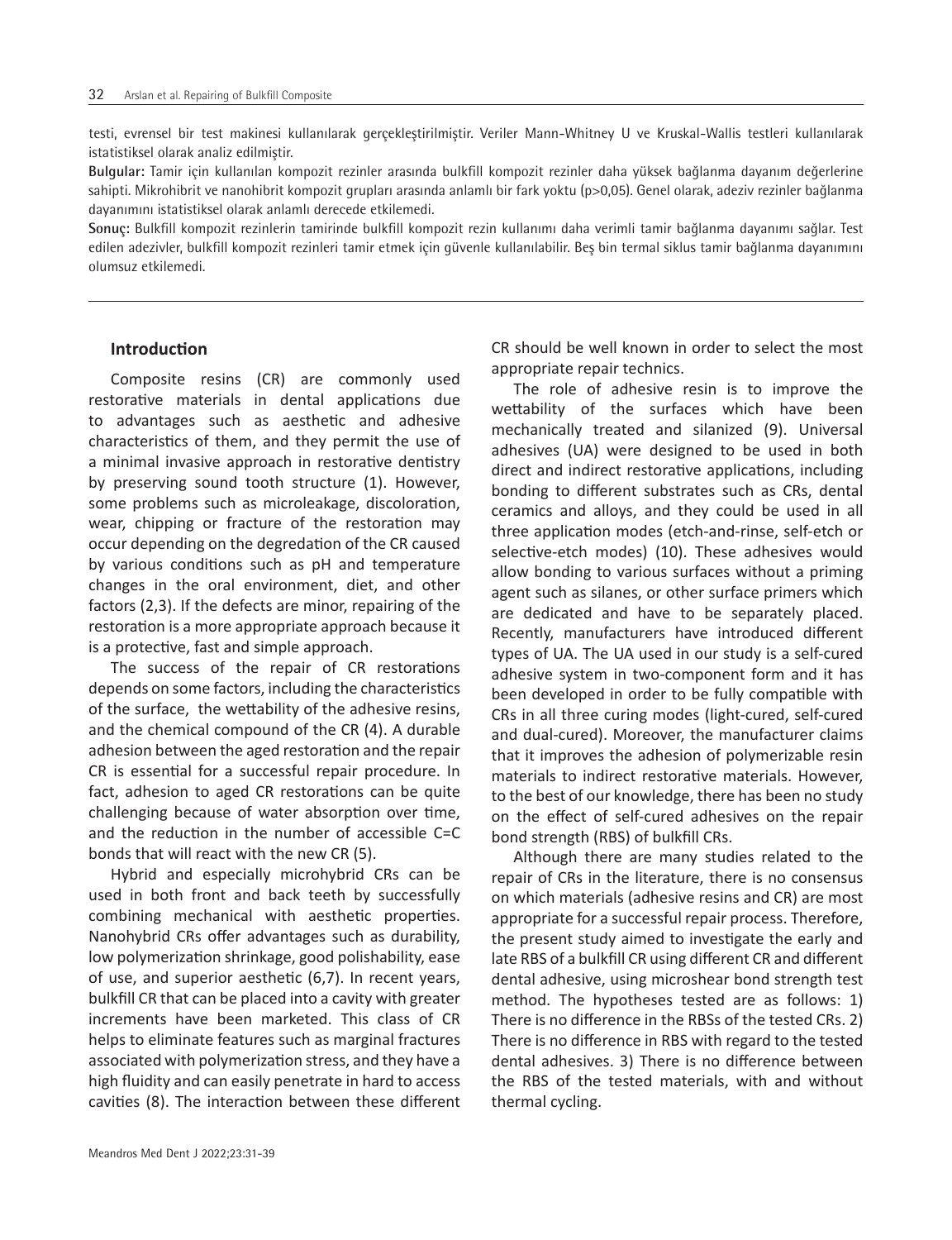testi, evrensel bir test makinesi kullanılarak gerçekleştirilmiştir. Veriler Mann-Whitney U ve Kruskal-Wallis testleri kullanılarak istatistiksel olarak analiz edilmiştir.

**Bulgular:** Tamir için kullanılan kompozit rezinler arasında bulkfill kompozit rezinler daha yüksek bağlanma dayanım değerlerine sahipti. Mikrohibrit ve nanohibrit kompozit grupları arasında anlamlı bir fark yoktu (p>0,05). Genel olarak, adeziv rezinler bağlanma dayanımını istatistiksel olarak anlamlı derecede etkilemedi.

**Sonuç:** Bulkfill kompozit rezinlerin tamirinde bulkfill kompozit rezin kullanımı daha verimli tamir bağlanma dayanımı sağlar. Test edilen adezivler, bulkfill kompozit rezinleri tamir etmek için güvenle kullanılabilir. Beş bin termal siklus tamir bağlanma dayanımını olumsuz etkilemedi.

#### **Introduction**

Composite resins (CR) are commonly used restorative materials in dental applications due to advantages such as aesthetic and adhesive characteristics of them, and they permit the use of a minimal invasive approach in restorative dentistry by preserving sound tooth structure (1). However, some problems such as microleakage, discoloration, wear, chipping or fracture of the restoration may occur depending on the degredation of the CR caused by various conditions such as pH and temperature changes in the oral environment, diet, and other factors (2,3). If the defects are minor, repairing of the restoration is a more appropriate approach because it is a protective, fast and simple approach.

The success of the repair of CR restorations depends on some factors, including the characteristics of the surface, the wettability of the adhesive resins, and the chemical compound of the CR (4). A durable adhesion between the aged restoration and the repair CR is essential for a successful repair procedure. In fact, adhesion to aged CR restorations can be quite challenging because of water absorption over time, and the reduction in the number of accessible C=C bonds that will react with the new CR (5).

Hybrid and especially microhybrid CRs can be used in both front and back teeth by successfully combining mechanical with aesthetic properties. Nanohybrid CRs offer advantages such as durability, low polymerization shrinkage, good polishability, ease of use, and superior aesthetic (6,7). In recent years, bulkfill CR that can be placed into a cavity with greater increments have been marketed. This class of CR helps to eliminate features such as marginal fractures associated with polymerization stress, and they have a high fluidity and can easily penetrate in hard to access cavities (8). The interaction between these different

CR should be well known in order to select the most appropriate repair technics.

The role of adhesive resin is to improve the wettability of the surfaces which have been mechanically treated and silanized (9). Universal adhesives (UA) were designed to be used in both direct and indirect restorative applications, including bonding to different substrates such as CRs, dental ceramics and alloys, and they could be used in all three application modes (etch-and-rinse, self-etch or selective-etch modes) (10). These adhesives would allow bonding to various surfaces without a priming agent such as silanes, or other surface primers which are dedicated and have to be separately placed. Recently, manufacturers have introduced different types of UA. The UA used in our study is a self-cured adhesive system in two-component form and it has been developed in order to be fully compatible with CRs in all three curing modes (light-cured, self-cured and dual-cured). Moreover, the manufacturer claims that it improves the adhesion of polymerizable resin materials to indirect restorative materials. However, to the best of our knowledge, there has been no study on the effect of self-cured adhesives on the repair bond strength (RBS) of bulkfill CRs.

Although there are many studies related to the repair of CRs in the literature, there is no consensus on which materials (adhesive resins and CR) are most appropriate for a successful repair process. Therefore, the present study aimed to investigate the early and late RBS of a bulkfill CR using different CR and different dental adhesive, using microshear bond strength test method. The hypotheses tested are as follows: 1) There is no difference in the RBSs of the tested CRs. 2) There is no difference in RBS with regard to the tested dental adhesives. 3) There is no difference between the RBS of the tested materials, with and without thermal cycling.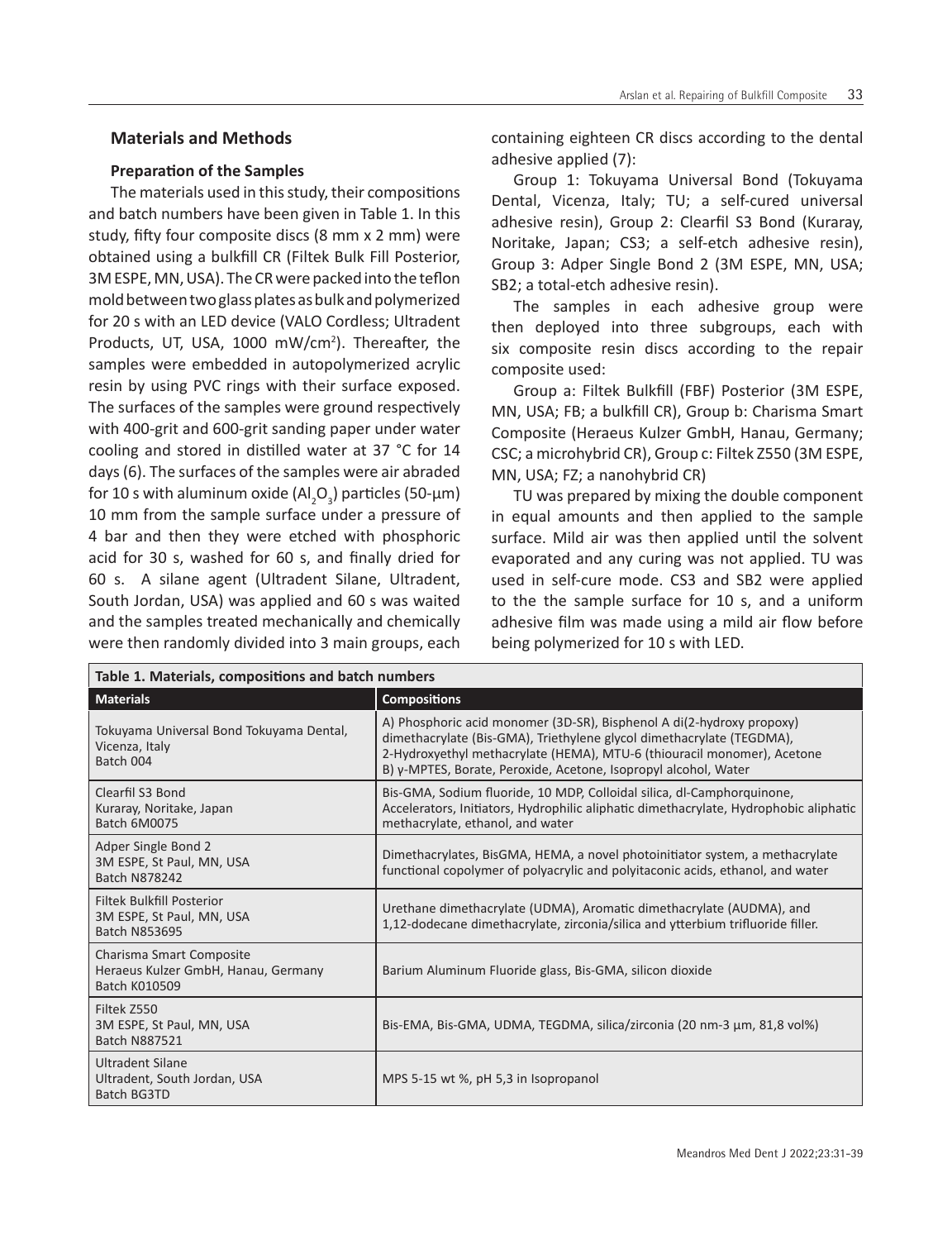# **Materials and Methods**

#### **Preparation of the Samples**

The materials used in this study, their compositions and batch numbers have been given in Table 1. In this study, fifty four composite discs (8 mm x 2 mm) were obtained using a bulkfill CR (Filtek Bulk Fill Posterior, 3M ESPE, MN, USA). The CR were packed into the teflon mold between two glass plates as bulk and polymerized for 20 s with an LED device (VALO Cordless; Ultradent Products, UT, USA, 1000 mW/cm<sup>2</sup>). Thereafter, the samples were embedded in autopolymerized acrylic resin by using PVC rings with their surface exposed. The surfaces of the samples were ground respectively with 400-grit and 600-grit sanding paper under water cooling and stored in distilled water at 37 °C for 14 days (6). The surfaces of the samples were air abraded for 10 s with aluminum oxide (Al<sub>2</sub>O<sub>3</sub>) particles (50-µm) 10 mm from the sample surface under a pressure of 4 bar and then they were etched with phosphoric acid for 30 s, washed for 60 s, and finally dried for 60 s. A silane agent (Ultradent Silane, Ultradent, South Jordan, USA) was applied and 60 s was waited and the samples treated mechanically and chemically were then randomly divided into 3 main groups, each

containing eighteen CR discs according to the dental adhesive applied (7):

Group 1: Tokuyama Universal Bond (Tokuyama Dental, Vicenza, Italy; TU; a self-cured universal adhesive resin), Group 2: Clearfil S3 Bond (Kuraray, Noritake, Japan; CS3; a self-etch adhesive resin), Group 3: Adper Single Bond 2 (3M ESPE, MN, USA; SB2; a total-etch adhesive resin).

The samples in each adhesive group were then deployed into three subgroups, each with six composite resin discs according to the repair composite used:

Group a: Filtek Bulkfill (FBF) Posterior (3M ESPE, MN, USA; FB; a bulkfill CR), Group b: Charisma Smart Composite (Heraeus Kulzer GmbH, Hanau, Germany; CSC; a microhybrid CR), Group c: Filtek Z550 (3M ESPE, MN, USA; FZ; a nanohybrid CR)

TU was prepared by mixing the double component in equal amounts and then applied to the sample surface. Mild air was then applied until the solvent evaporated and any curing was not applied. TU was used in self-cure mode. CS3 and SB2 were applied to the the sample surface for 10 s, and a uniform adhesive film was made using a mild air flow before being polymerized for 10 s with LED.

| Table 1. Materials, compositions and batch numbers                               |                                                                                                                                                                                                                                                                                              |  |  |  |  |  |
|----------------------------------------------------------------------------------|----------------------------------------------------------------------------------------------------------------------------------------------------------------------------------------------------------------------------------------------------------------------------------------------|--|--|--|--|--|
| <b>Materials</b>                                                                 | <b>Compositions</b>                                                                                                                                                                                                                                                                          |  |  |  |  |  |
| Tokuyama Universal Bond Tokuyama Dental,<br>Vicenza, Italy<br>Batch 004          | A) Phosphoric acid monomer (3D-SR), Bisphenol A di(2-hydroxy propoxy)<br>dimethacrylate (Bis-GMA), Triethylene glycol dimethacrylate (TEGDMA),<br>2-Hydroxyethyl methacrylate (HEMA), MTU-6 (thiouracil monomer), Acetone<br>B) γ-MPTES, Borate, Peroxide, Acetone, Isopropyl alcohol, Water |  |  |  |  |  |
| Clearfil S3 Bond<br>Kuraray, Noritake, Japan<br><b>Batch 6M0075</b>              | Bis-GMA, Sodium fluoride, 10 MDP, Colloidal silica, dl-Camphorquinone,<br>Accelerators, Initiators, Hydrophilic aliphatic dimethacrylate, Hydrophobic aliphatic<br>methacrylate, ethanol, and water                                                                                          |  |  |  |  |  |
| Adper Single Bond 2<br>3M ESPE, St Paul, MN, USA<br><b>Batch N878242</b>         | Dimethacrylates, BisGMA, HEMA, a novel photoinitiator system, a methacrylate<br>functional copolymer of polyacrylic and polyitaconic acids, ethanol, and water                                                                                                                               |  |  |  |  |  |
| <b>Filtek Bulkfill Posterior</b><br>3M ESPE, St Paul, MN, USA<br>Batch N853695   | Urethane dimethacrylate (UDMA), Aromatic dimethacrylate (AUDMA), and<br>1,12-dodecane dimethacrylate, zirconia/silica and ytterbium trifluoride filler.                                                                                                                                      |  |  |  |  |  |
| Charisma Smart Composite<br>Heraeus Kulzer GmbH, Hanau, Germany<br>Batch K010509 | Barium Aluminum Fluoride glass, Bis-GMA, silicon dioxide                                                                                                                                                                                                                                     |  |  |  |  |  |
| Filtek Z550<br>3M ESPE, St Paul, MN, USA<br><b>Batch N887521</b>                 | Bis-EMA, Bis-GMA, UDMA, TEGDMA, silica/zirconia (20 nm-3 µm, 81,8 vol%)                                                                                                                                                                                                                      |  |  |  |  |  |
| <b>Ultradent Silane</b><br>Ultradent, South Jordan, USA<br><b>Batch BG3TD</b>    | MPS 5-15 wt %, pH 5,3 in Isopropanol                                                                                                                                                                                                                                                         |  |  |  |  |  |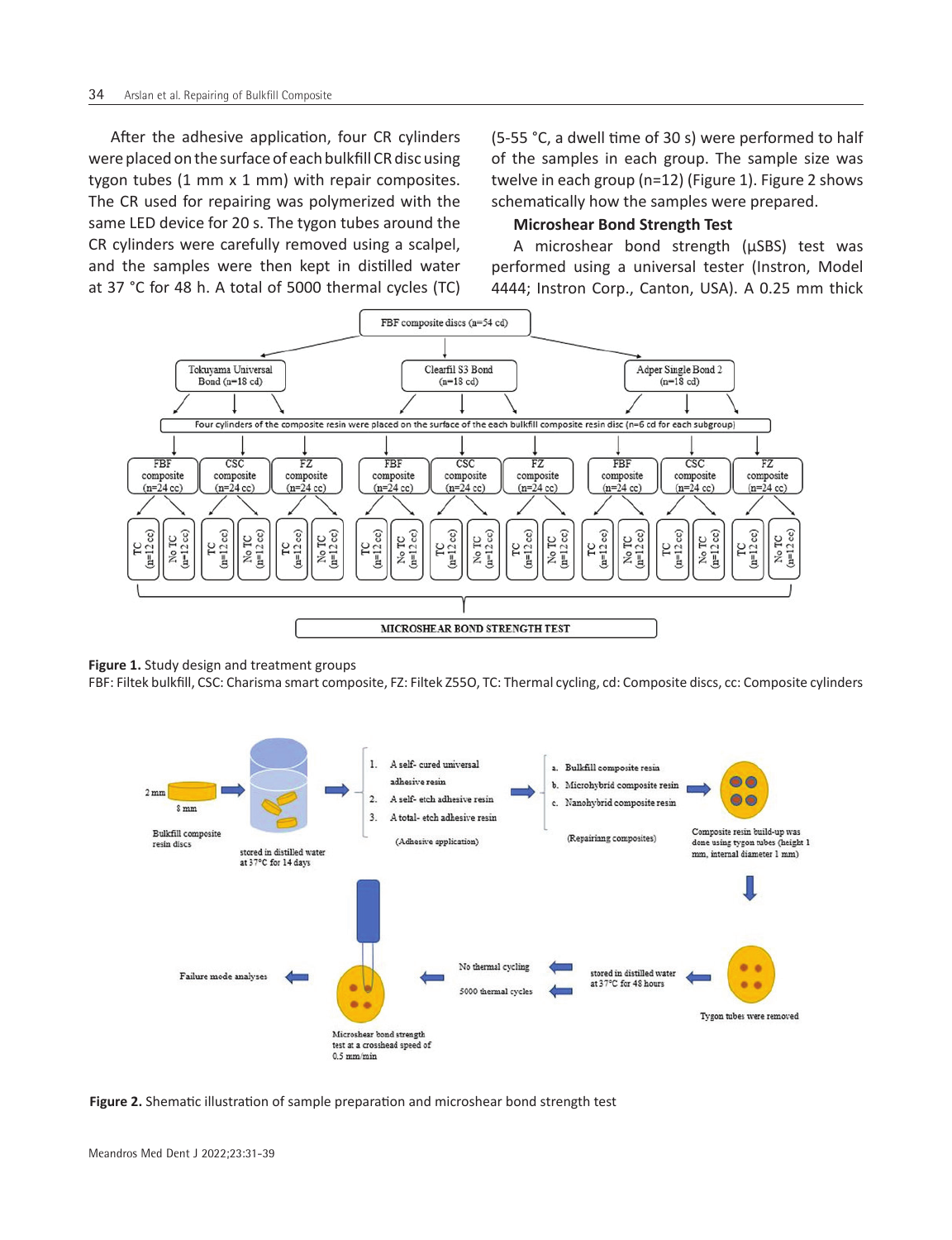After the adhesive application, four CR cylinders were placed on the surface of each bulkfill CR disc using tygon tubes (1 mm x 1 mm) with repair composites. The CR used for repairing was polymerized with the same LED device for 20 s. The tygon tubes around the CR cylinders were carefully removed using a scalpel, and the samples were then kept in distilled water at 37 °C for 48 h. A total of 5000 thermal cycles (TC) (5-55 °C, a dwell time of 30 s) were performed to half of the samples in each group. The sample size was twelve in each group (n=12) (Figure 1). Figure 2 shows schematically how the samples were prepared.

# **Microshear Bond Strength Test**

A microshear bond strength (µSBS) test was performed using a universal tester (Instron, Model 4444; Instron Corp., Canton, USA). A 0.25 mm thick



**Figure 1.** Study design and treatment groups

FBF: Filtek bulkfill, CSC: Charisma smart composite, FZ: Filtek Z55O, TC: Thermal cycling, cd: Composite discs, cc: Composite cylinders

![](_page_3_Figure_8.jpeg)

**Figure 2.** Shematic illustration of sample preparation and microshear bond strength test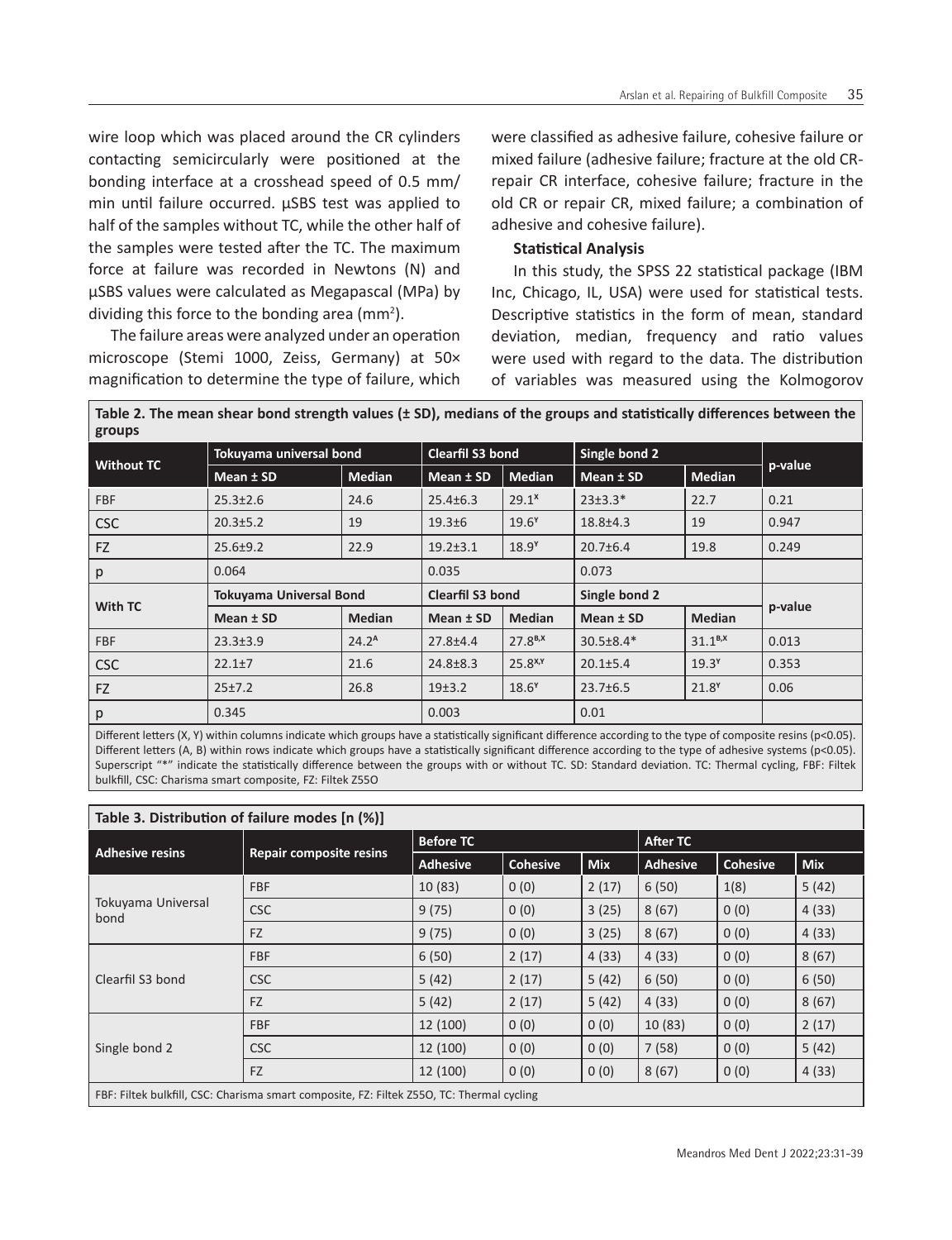wire loop which was placed around the CR cylinders contacting semicircularly were positioned at the bonding interface at a crosshead speed of 0.5 mm/ min until failure occurred. µSBS test was applied to half of the samples without TC, while the other half of the samples were tested after the TC. The maximum force at failure was recorded in Newtons (N) and µSBS values were calculated as Megapascal (MPa) by dividing this force to the bonding area ( $mm<sup>2</sup>$ ).

The failure areas were analyzed under an operation microscope (Stemi 1000, Zeiss, Germany) at 50× magnification to determine the type of failure, which

were classified as adhesive failure, cohesive failure or mixed failure (adhesive failure; fracture at the old CRrepair CR interface, cohesive failure; fracture in the old CR or repair CR, mixed failure; a combination of adhesive and cohesive failure).

# **Statistical Analysis**

In this study, the SPSS 22 statistical package (IBM Inc, Chicago, IL, USA) were used for statistical tests. Descriptive statistics in the form of mean, standard deviation, median, frequency and ratio values were used with regard to the data. The distribution of variables was measured using the Kolmogorov

| Table 2. The mean shear bond strength values (± SD), medians of the groups and statistically differences between the<br>groups |                   |                         |                   |                 |                   |         |  |  |  |  |
|--------------------------------------------------------------------------------------------------------------------------------|-------------------|-------------------------|-------------------|-----------------|-------------------|---------|--|--|--|--|
| Tokuyama universal bond                                                                                                        |                   | Clearfil S3 bond        |                   | Single bond 2   |                   |         |  |  |  |  |
| $Mean \pm SD$                                                                                                                  | <b>Median</b>     | Mean $±$ SD             | <b>Median</b>     | $Mean \pm SD$   | <b>Median</b>     | p-value |  |  |  |  |
| $25.3 \pm 2.6$                                                                                                                 | 24.6              | $25.4 \pm 6.3$          | 29.1 <sup>x</sup> | $23±3.3*$       | 22.7              | 0.21    |  |  |  |  |
| $20.3 \pm 5.2$                                                                                                                 | 19                | $19.3 \pm 6$            | 19.6 <sup>Y</sup> | $18.8 \pm 4.3$  | 19                | 0.947   |  |  |  |  |
| $25.6 \pm 9.2$                                                                                                                 | 22.9              | $19.2 \pm 3.1$          | 18.9 <sup>Y</sup> | $20.7 \pm 6.4$  | 19.8              | 0.249   |  |  |  |  |
| 0.064                                                                                                                          |                   | 0.035                   |                   | 0.073           |                   |         |  |  |  |  |
| <b>Tokuyama Universal Bond</b>                                                                                                 |                   | <b>Clearfil S3 bond</b> |                   | Single bond 2   |                   |         |  |  |  |  |
| Mean ± SD                                                                                                                      | <b>Median</b>     | Mean ± SD               | Median            | Mean ± SD       | <b>Median</b>     | p-value |  |  |  |  |
| $23.3 \pm 3.9$                                                                                                                 | 24.2 <sup>A</sup> | $27.8 + 4.4$            | $27.8^{B,X}$      | $30.5 \pm 8.4*$ | $31.1^{B,X}$      | 0.013   |  |  |  |  |
| $22.1 \pm 7$                                                                                                                   | 21.6              | $24.8 \pm 8.3$          | $25.8^{X,Y}$      | $20.1 \pm 5.4$  | 19.3 <sup>Y</sup> | 0.353   |  |  |  |  |
| 25±7.2                                                                                                                         | 26.8              | 19±3.2                  | 18.6 <sup>Y</sup> | $23.7 \pm 6.5$  | $21.8^{\gamma}$   | 0.06    |  |  |  |  |
| 0.345                                                                                                                          |                   | 0.003                   |                   | 0.01            |                   |         |  |  |  |  |
|                                                                                                                                |                   |                         |                   |                 |                   |         |  |  |  |  |

Different letters (X, Y) within columns indicate which groups have a statistically significant difference according to the type of composite resins (p<0.05). Different letters (A, B) within rows indicate which groups have a statistically significant difference according to the type of adhesive systems (p<0.05). Superscript "\*" indicate the statistically difference between the groups with or without TC. SD: Standard deviation. TC: Thermal cycling, FBF: Filtek bulkfill, CSC: Charisma smart composite, FZ: Filtek Z55O

| Table 3. Distribution of failure modes [n (%)]                                            |                                |                  |                 |            |                 |                 |            |  |  |  |
|-------------------------------------------------------------------------------------------|--------------------------------|------------------|-----------------|------------|-----------------|-----------------|------------|--|--|--|
| <b>Adhesive resins</b>                                                                    | <b>Repair composite resins</b> | <b>Before TC</b> |                 |            | <b>After TC</b> |                 |            |  |  |  |
|                                                                                           |                                | <b>Adhesive</b>  | <b>Cohesive</b> | <b>Mix</b> | <b>Adhesive</b> | <b>Cohesive</b> | <b>Mix</b> |  |  |  |
| Tokuyama Universal<br>bond                                                                | <b>FBF</b>                     | 10(83)           | 0(0)            | 2(17)      | 6(50)           | 1(8)            | 5(42)      |  |  |  |
|                                                                                           | <b>CSC</b>                     | 9(75)            | 0(0)            | 3(25)      | 8(67)           | 0(0)            | 4(33)      |  |  |  |
|                                                                                           | FZ                             | 9(75)            | 0(0)            | 3(25)      | 8(67)           | 0(0)            | 4(33)      |  |  |  |
| Clearfil S3 bond                                                                          | <b>FBF</b>                     | 6(50)            | 2(17)           | 4(33)      | 4(33)           | 0(0)            | 8(67)      |  |  |  |
|                                                                                           | <b>CSC</b>                     | 5(42)            | 2(17)           | 5(42)      | 6(50)           | 0(0)            | 6(50)      |  |  |  |
|                                                                                           | FZ                             | 5(42)            | 2(17)           | 5(42)      | 4(33)           | 0(0)            | 8(67)      |  |  |  |
| Single bond 2                                                                             | <b>FBF</b>                     | 12 (100)         | 0(0)            | 0(0)       | 10(83)          | 0(0)            | 2(17)      |  |  |  |
|                                                                                           | <b>CSC</b>                     | 12 (100)         | 0(0)            | 0(0)       | 7(58)           | 0(0)            | 5(42)      |  |  |  |
|                                                                                           | FZ                             | 12 (100)         | 0(0)            | 0(0)       | 8(67)           | 0(0)            | 4(33)      |  |  |  |
| FBF: Filtek bulkfill, CSC: Charisma smart composite, FZ: Filtek Z550, TC: Thermal cycling |                                |                  |                 |            |                 |                 |            |  |  |  |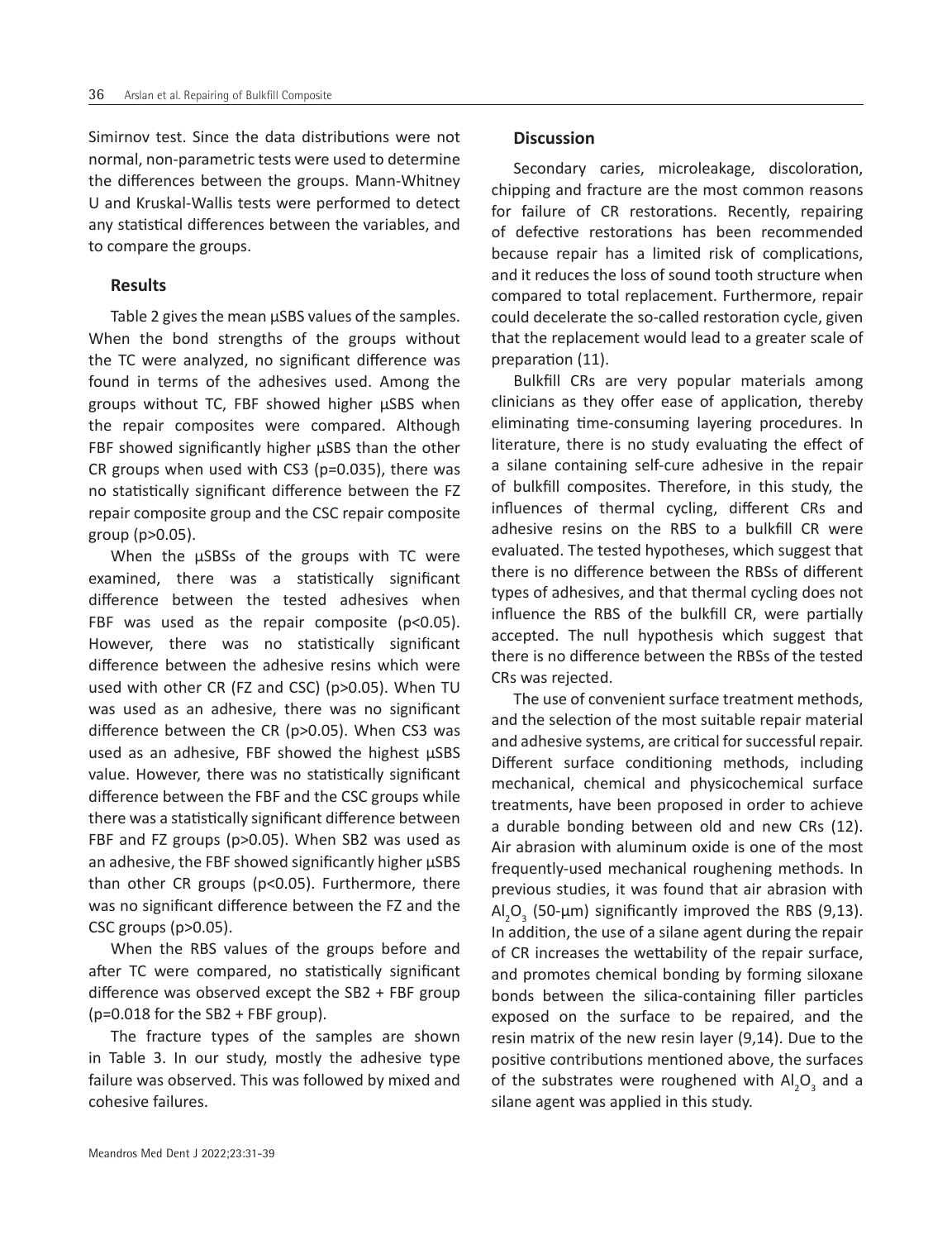Simirnov test. Since the data distributions were not normal, non-parametric tests were used to determine the differences between the groups. Mann-Whitney U and Kruskal-Wallis tests were performed to detect any statistical differences between the variables, and to compare the groups.

#### **Results**

Table 2 gives the mean  $\mu$ SBS values of the samples. When the bond strengths of the groups without the TC were analyzed, no significant difference was found in terms of the adhesives used. Among the groups without TC, FBF showed higher µSBS when the repair composites were compared. Although FBF showed significantly higher  $\mu$ SBS than the other CR groups when used with CS3 (p=0.035), there was no statistically significant difference between the FZ repair composite group and the CSC repair composite group (p>0.05).

When the uSBSs of the groups with TC were examined, there was a statistically significant difference between the tested adhesives when FBF was used as the repair composite ( $p$ <0.05). However, there was no statistically significant difference between the adhesive resins which were used with other CR (FZ and CSC) (p>0.05). When TU was used as an adhesive, there was no significant difference between the CR (p>0.05). When CS3 was used as an adhesive, FBF showed the highest  $\mu$ SBS value. However, there was no statistically significant difference between the FBF and the CSC groups while there was a statistically significant difference between FBF and FZ groups (p>0.05). When SB2 was used as an adhesive, the FBF showed significantly higher µSBS than other CR groups (p<0.05). Furthermore, there was no significant difference between the FZ and the CSC groups (p>0.05).

When the RBS values of the groups before and after TC were compared, no statistically significant difference was observed except the SB2 + FBF group (p=0.018 for the SB2 + FBF group).

The fracture types of the samples are shown in Table 3. In our study, mostly the adhesive type failure was observed. This was followed by mixed and cohesive failures.

#### **Discussion**

Secondary caries, microleakage, discoloration, chipping and fracture are the most common reasons for failure of CR restorations. Recently, repairing of defective restorations has been recommended because repair has a limited risk of complications, and it reduces the loss of sound tooth structure when compared to total replacement. Furthermore, repair could decelerate the so-called restoration cycle, given that the replacement would lead to a greater scale of preparation (11).

Bulkfill CRs are very popular materials among clinicians as they offer ease of application, thereby eliminating time-consuming layering procedures. In literature, there is no study evaluating the effect of a silane containing self-cure adhesive in the repair of bulkfill composites. Therefore, in this study, the influences of thermal cycling, different CRs and adhesive resins on the RBS to a bulkfill CR were evaluated. The tested hypotheses, which suggest that there is no difference between the RBSs of different types of adhesives, and that thermal cycling does not influence the RBS of the bulkfill CR, were partially accepted. The null hypothesis which suggest that there is no difference between the RBSs of the tested CRs was rejected.

The use of convenient surface treatment methods, and the selection of the most suitable repair material and adhesive systems, are critical for successful repair. Different surface conditioning methods, including mechanical, chemical and physicochemical surface treatments, have been proposed in order to achieve a durable bonding between old and new CRs (12). Air abrasion with aluminum oxide is one of the most frequently-used mechanical roughening methods. In previous studies, it was found that air abrasion with  $\text{Al}_2\text{O}_3$  (50-µm) significantly improved the RBS (9,13). In addition, the use of a silane agent during the repair of CR increases the wettability of the repair surface, and promotes chemical bonding by forming siloxane bonds between the silica-containing filler particles exposed on the surface to be repaired, and the resin matrix of the new resin layer (9,14). Due to the positive contributions mentioned above, the surfaces of the substrates were roughened with  $\mathsf{Al}_2\mathsf{O}_3$  and a silane agent was applied in this study.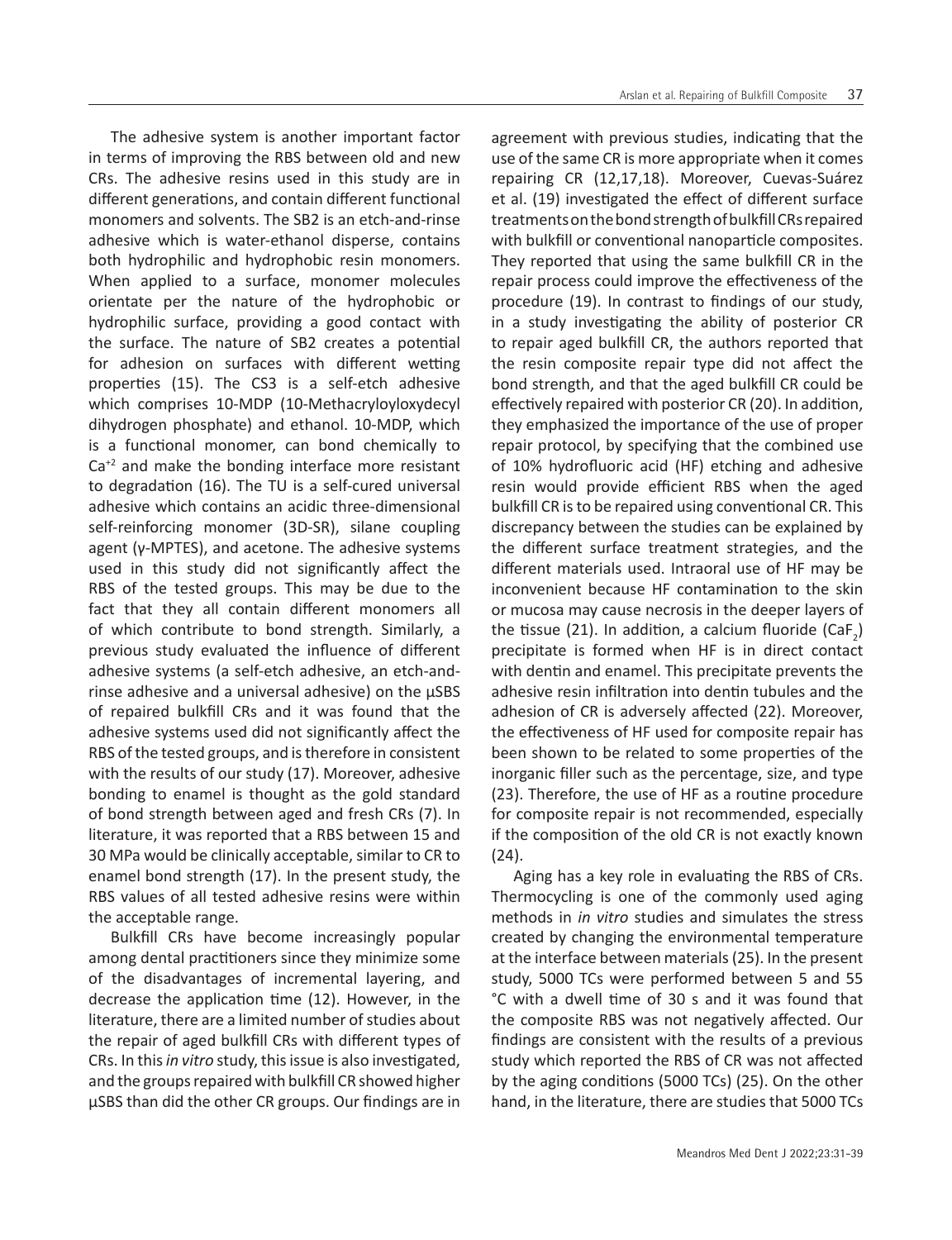The adhesive system is another important factor in terms of improving the RBS between old and new CRs. The adhesive resins used in this study are in different generations, and contain different functional monomers and solvents. The SB2 is an etch-and-rinse adhesive which is water-ethanol disperse, contains both hydrophilic and hydrophobic resin monomers. When applied to a surface, monomer molecules orientate per the nature of the hydrophobic or hydrophilic surface, providing a good contact with the surface. The nature of SB2 creates a potential for adhesion on surfaces with different wetting properties (15). The CS3 is a self-etch adhesive which comprises 10-MDP (10-Methacryloyloxydecyl dihydrogen phosphate) and ethanol. 10-MDP, which is a functional monomer, can bond chemically to  $Ca<sup>+2</sup>$  and make the bonding interface more resistant to degradation (16). The TU is a self-cured universal adhesive which contains an acidic three-dimensional self-reinforcing monomer (3D-SR), silane coupling agent (γ-MPTES), and acetone. The adhesive systems used in this study did not significantly affect the RBS of the tested groups. This may be due to the fact that they all contain different monomers all of which contribute to bond strength. Similarly, a previous study evaluated the influence of different adhesive systems (a self-etch adhesive, an etch-andrinse adhesive and a universal adhesive) on the µSBS of repaired bulkfill CRs and it was found that the adhesive systems used did not significantly affect the RBS of the tested groups, and is therefore in consistent with the results of our study (17). Moreover, adhesive bonding to enamel is thought as the gold standard of bond strength between aged and fresh CRs (7). In literature, it was reported that a RBS between 15 and 30 MPa would be clinically acceptable, similar to CR to enamel bond strength (17). In the present study, the RBS values of all tested adhesive resins were within the acceptable range.

Bulkfill CRs have become increasingly popular among dental practitioners since they minimize some of the disadvantages of incremental layering, and decrease the application time (12). However, in the literature, there are a limited number of studies about the repair of aged bulkfill CRs with different types of CRs. In this *in vitro* study, this issue is also investigated, and the groups repaired with bulkfill CR showed higher µSBS than did the other CR groups. Our findings are in

agreement with previous studies, indicating that the use of the same CR is more appropriate when it comes repairing CR (12,17,18). Moreover, Cuevas-Suárez et al. (19) investigated the effect of different surface treatments on the bond strength of bulkfill CRs repaired with bulkfill or conventional nanoparticle composites. They reported that using the same bulkfill CR in the repair process could improve the effectiveness of the procedure (19). In contrast to findings of our study, in a study investigating the ability of posterior CR to repair aged bulkfill CR, the authors reported that the resin composite repair type did not affect the bond strength, and that the aged bulkfill CR could be effectively repaired with posterior CR (20). In addition, they emphasized the importance of the use of proper repair protocol, by specifying that the combined use of 10% hydrofluoric acid (HF) etching and adhesive resin would provide efficient RBS when the aged bulkfill CR is to be repaired using conventional CR. This discrepancy between the studies can be explained by the different surface treatment strategies, and the different materials used. Intraoral use of HF may be inconvenient because HF contamination to the skin or mucosa may cause necrosis in the deeper layers of the tissue (21). In addition, a calcium fluoride (CaF<sub>2</sub>) precipitate is formed when HF is in direct contact with dentin and enamel. This precipitate prevents the adhesive resin infiltration into dentin tubules and the adhesion of CR is adversely affected (22). Moreover, the effectiveness of HF used for composite repair has been shown to be related to some properties of the inorganic filler such as the percentage, size, and type (23). Therefore, the use of HF as a routine procedure for composite repair is not recommended, especially if the composition of the old CR is not exactly known (24).

Aging has a key role in evaluating the RBS of CRs. Thermocycling is one of the commonly used aging methods in *in vitro* studies and simulates the stress created by changing the environmental temperature at the interface between materials (25). In the present study, 5000 TCs were performed between 5 and 55 °C with a dwell time of 30 s and it was found that the composite RBS was not negatively affected. Our findings are consistent with the results of a previous study which reported the RBS of CR was not affected by the aging conditions (5000 TCs) (25). On the other hand, in the literature, there are studies that 5000 TCs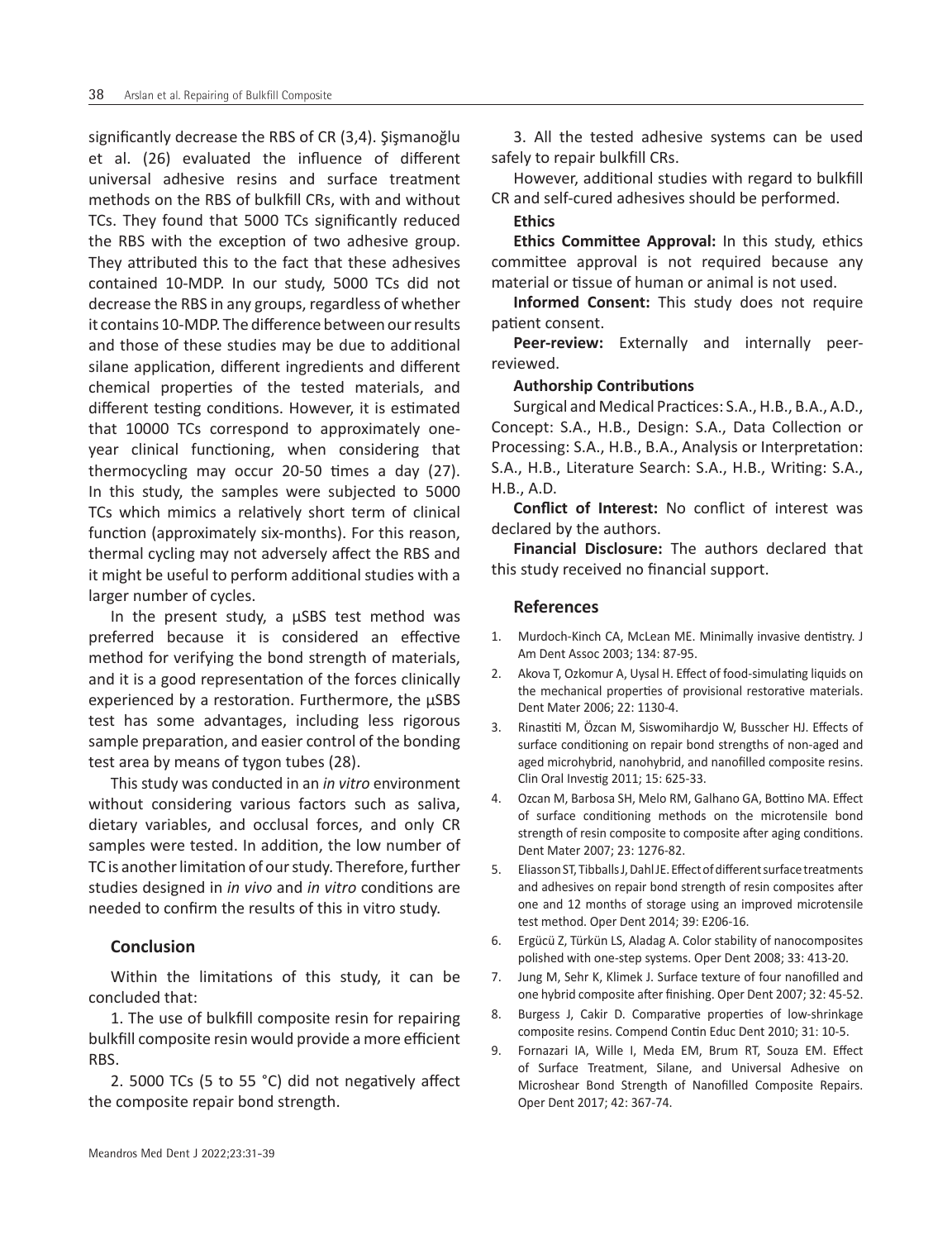significantly decrease the RBS of CR (3,4). Şişmanoğlu et al. (26) evaluated the influence of different universal adhesive resins and surface treatment methods on the RBS of bulkfill CRs, with and without TCs. They found that 5000 TCs significantly reduced the RBS with the exception of two adhesive group. They attributed this to the fact that these adhesives contained 10-MDP. In our study, 5000 TCs did not decrease the RBS in any groups, regardless of whether it contains 10-MDP. The difference between our results and those of these studies may be due to additional silane application, different ingredients and different chemical properties of the tested materials, and different testing conditions. However, it is estimated that 10000 TCs correspond to approximately oneyear clinical functioning, when considering that thermocycling may occur 20-50 times a day (27). In this study, the samples were subjected to 5000 TCs which mimics a relatively short term of clinical function (approximately six-months). For this reason, thermal cycling may not adversely affect the RBS and it might be useful to perform additional studies with a larger number of cycles.

In the present study, a µSBS test method was preferred because it is considered an effective method for verifying the bond strength of materials, and it is a good representation of the forces clinically experienced by a restoration. Furthermore, the µSBS test has some advantages, including less rigorous sample preparation, and easier control of the bonding test area by means of tygon tubes (28).

This study was conducted in an *in vitro* environment without considering various factors such as saliva, dietary variables, and occlusal forces, and only CR samples were tested. In addition, the low number of TC is another limitation of our study. Therefore, further studies designed in *in vivo* and *in vitro* conditions are needed to confirm the results of this in vitro study.

# **Conclusion**

Within the limitations of this study, it can be concluded that:

1. The use of bulkfill composite resin for repairing bulkfill composite resin would provide a more efficient RBS.

2. 5000 TCs (5 to 55 °C) did not negatively affect the composite repair bond strength.

3. All the tested adhesive systems can be used safely to repair bulkfill CRs.

However, additional studies with regard to bulkfill CR and self-cured adhesives should be performed.

#### **Ethics**

**Ethics Committee Approval:** In this study, ethics committee approval is not required because any material or tissue of human or animal is not used.

**Informed Consent:** This study does not require patient consent.

**Peer-review:** Externally and internally peerreviewed.

#### **Authorship Contributions**

Surgical and Medical Practices: S.A., H.B., B.A., A.D., Concept: S.A., H.B., Design: S.A., Data Collection or Processing: S.A., H.B., B.A., Analysis or Interpretation: S.A., H.B., Literature Search: S.A., H.B., Writing: S.A., H.B., A.D.

**Conflict of Interest:** No conflict of interest was declared by the authors.

**Financial Disclosure:** The authors declared that this study received no financial support.

## **References**

- 1. Murdoch-Kinch CA, McLean ME. Minimally invasive dentistry. J Am Dent Assoc 2003; 134: 87-95.
- 2. Akova T, Ozkomur A, Uysal H. Effect of food-simulating liquids on the mechanical properties of provisional restorative materials. Dent Mater 2006; 22: 1130-4.
- 3. Rinastiti M, Özcan M, Siswomihardjo W, Busscher HJ. Effects of surface conditioning on repair bond strengths of non-aged and aged microhybrid, nanohybrid, and nanofilled composite resins. Clin Oral Investig 2011; 15: 625-33.
- 4. Ozcan M, Barbosa SH, Melo RM, Galhano GA, Bottino MA. Effect of surface conditioning methods on the microtensile bond strength of resin composite to composite after aging conditions. Dent Mater 2007; 23: 1276-82.
- 5. Eliasson ST, Tibballs J, Dahl JE. Effect of different surface treatments and adhesives on repair bond strength of resin composites after one and 12 months of storage using an improved microtensile test method. Oper Dent 2014; 39: E206-16.
- 6. Ergücü Z, Türkün LS, Aladag A. Color stability of nanocomposites polished with one-step systems. Oper Dent 2008; 33: 413-20.
- 7. Jung M, Sehr K, Klimek J. Surface texture of four nanofilled and one hybrid composite after finishing. Oper Dent 2007; 32: 45-52.
- 8. Burgess J, Cakir D. Comparative properties of low-shrinkage composite resins. Compend Contin Educ Dent 2010; 31: 10-5.
- 9. Fornazari IA, Wille I, Meda EM, Brum RT, Souza EM. Effect of Surface Treatment, Silane, and Universal Adhesive on Microshear Bond Strength of Nanofilled Composite Repairs. Oper Dent 2017; 42: 367-74.